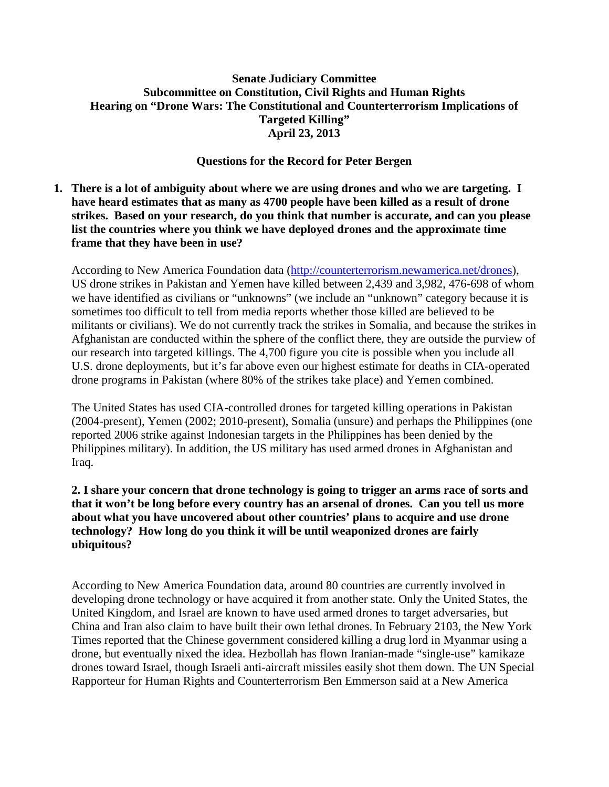## **Senate Judiciary Committee Subcommittee on Constitution, Civil Rights and Human Rights Hearing on "Drone Wars: The Constitutional and Counterterrorism Implications of Targeted Killing" April 23, 2013**

## **Questions for the Record for Peter Bergen**

**1. There is a lot of ambiguity about where we are using drones and who we are targeting. I have heard estimates that as many as 4700 people have been killed as a result of drone strikes. Based on your research, do you think that number is accurate, and can you please list the countries where you think we have deployed drones and the approximate time frame that they have been in use?** 

According to New America Foundation data [\(http://counterterrorism.newamerica.net/drones\)](http://counterterrorism.newamerica.net/drones), US drone strikes in Pakistan and Yemen have killed between 2,439 and 3,982, 476-698 of whom we have identified as civilians or "unknowns" (we include an "unknown" category because it is sometimes too difficult to tell from media reports whether those killed are believed to be militants or civilians). We do not currently track the strikes in Somalia, and because the strikes in Afghanistan are conducted within the sphere of the conflict there, they are outside the purview of our research into targeted killings. The 4,700 figure you cite is possible when you include all U.S. drone deployments, but it's far above even our highest estimate for deaths in CIA-operated drone programs in Pakistan (where 80% of the strikes take place) and Yemen combined.

The United States has used CIA-controlled drones for targeted killing operations in Pakistan (2004-present), Yemen (2002; 2010-present), Somalia (unsure) and perhaps the Philippines (one reported 2006 strike against Indonesian targets in the Philippines has been denied by the Philippines military). In addition, the US military has used armed drones in Afghanistan and Iraq.

## **2. I share your concern that drone technology is going to trigger an arms race of sorts and that it won't be long before every country has an arsenal of drones. Can you tell us more about what you have uncovered about other countries' plans to acquire and use drone technology? How long do you think it will be until weaponized drones are fairly ubiquitous?**

According to New America Foundation data, around 80 countries are currently involved in developing drone technology or have acquired it from another state. Only the United States, the United Kingdom, and Israel are known to have used armed drones to target adversaries, but China and Iran also claim to have built their own lethal drones. In February 2103, the New York Times reported that the Chinese government considered killing a drug lord in Myanmar using a drone, but eventually nixed the idea. Hezbollah has flown Iranian-made "single-use" kamikaze drones toward Israel, though Israeli anti-aircraft missiles easily shot them down. The UN Special Rapporteur for Human Rights and Counterterrorism Ben Emmerson said at a New America